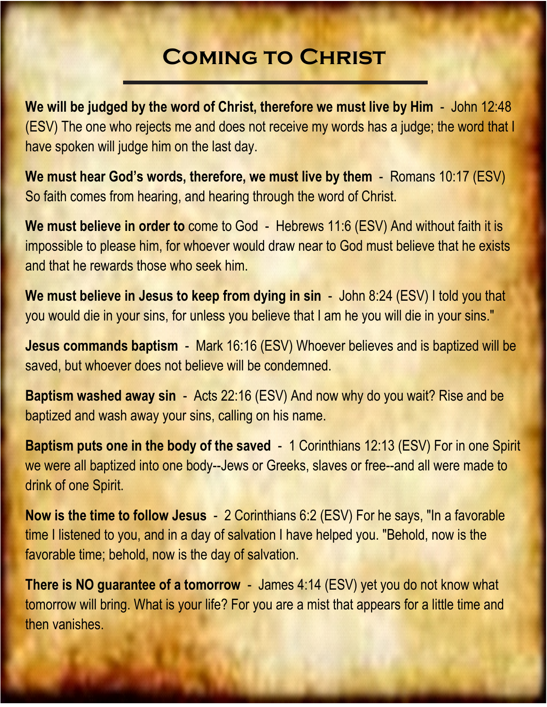## **Coming to Christ**

**We will be judged by the word of Christ, therefore we must live by Him** - John 12:48 (ESV) The one who rejects me and does not receive my words has a judge; the word that I have spoken will judge him on the last day.

**We must hear God's words, therefore, we must live by them** - Romans 10:17 (ESV) So faith comes from hearing, and hearing through the word of Christ.

**We must believe in order to** come to God - Hebrews 11:6 (ESV) And without faith it is impossible to please him, for whoever would draw near to God must believe that he exists and that he rewards those who seek him.

**We must believe in Jesus to keep from dying in sin** - John 8:24 (ESV) I told you that you would die in your sins, for unless you believe that I am he you will die in your sins."

**Jesus commands baptism** - Mark 16:16 (ESV) Whoever believes and is baptized will be saved, but whoever does not believe will be condemned.

**Baptism washed away sin** - Acts 22:16 (ESV) And now why do you wait? Rise and be baptized and wash away your sins, calling on his name.

**Baptism puts one in the body of the saved** - 1 Corinthians 12:13 (ESV) For in one Spirit we were all baptized into one body--Jews or Greeks, slaves or free--and all were made to drink of one Spirit.

**Now is the time to follow Jesus** - 2 Corinthians 6:2 (ESV) For he says, "In a favorable time I listened to you, and in a day of salvation I have helped you. "Behold, now is the favorable time; behold, now is the day of salvation.

**There is NO guarantee of a tomorrow** - James 4:14 (ESV) yet you do not know what tomorrow will bring. What is your life? For you are a mist that appears for a little time and then vanishes.